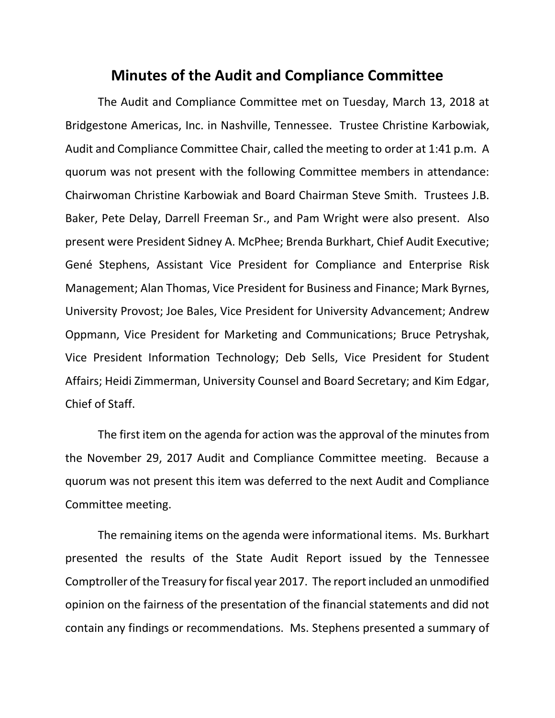## **Minutes of the Audit and Compliance Committee**

The Audit and Compliance Committee met on Tuesday, March 13, 2018 at Bridgestone Americas, Inc. in Nashville, Tennessee. Trustee Christine Karbowiak, Audit and Compliance Committee Chair, called the meeting to order at 1:41 p.m. A quorum was not present with the following Committee members in attendance: Chairwoman Christine Karbowiak and Board Chairman Steve Smith. Trustees J.B. Baker, Pete Delay, Darrell Freeman Sr., and Pam Wright were also present. Also present were President Sidney A. McPhee; Brenda Burkhart, Chief Audit Executive; Gené Stephens, Assistant Vice President for Compliance and Enterprise Risk Management; Alan Thomas, Vice President for Business and Finance; Mark Byrnes, University Provost; Joe Bales, Vice President for University Advancement; Andrew Oppmann, Vice President for Marketing and Communications; Bruce Petryshak, Vice President Information Technology; Deb Sells, Vice President for Student Affairs; Heidi Zimmerman, University Counsel and Board Secretary; and Kim Edgar, Chief of Staff.

The first item on the agenda for action was the approval of the minutes from the November 29, 2017 Audit and Compliance Committee meeting. Because a quorum was not present this item was deferred to the next Audit and Compliance Committee meeting.

The remaining items on the agenda were informational items. Ms. Burkhart presented the results of the State Audit Report issued by the Tennessee Comptroller of the Treasury for fiscal year 2017. The report included an unmodified opinion on the fairness of the presentation of the financial statements and did not contain any findings or recommendations. Ms. Stephens presented a summary of